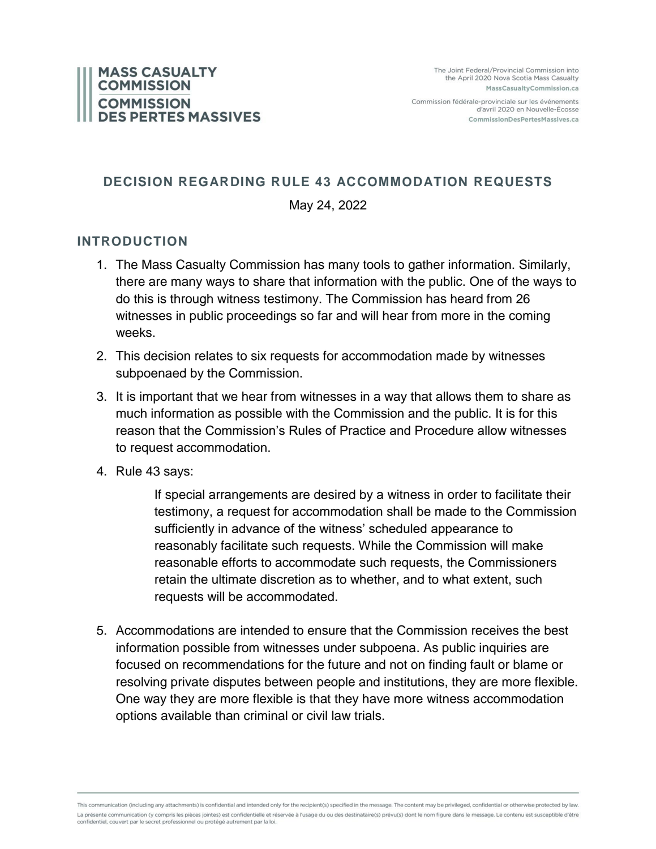

Commission fédérale-provinciale sur les événements d'avril 2020 en Nouvelle-Écosse CommissionDesPertesMassives.ca

# **DECISION REGARDING RULE 43 ACCOMMODATION REQUESTS**

#### May 24, 2022

### **INTRODUCTION**

- 1. The Mass Casualty Commission has many tools to gather information. Similarly, there are many ways to share that information with the public. One of the ways to do this is through witness testimony. The Commission has heard from 26 witnesses in public proceedings so far and will hear from more in the coming weeks.
- 2. This decision relates to six requests for accommodation made by witnesses subpoenaed by the Commission.
- 3. It is important that we hear from witnesses in a way that allows them to share as much information as possible with the Commission and the public. It is for this reason that the Commission's Rules of Practice and Procedure allow witnesses to request accommodation.
- 4. Rule 43 says:

If special arrangements are desired by a witness in order to facilitate their testimony, a request for accommodation shall be made to the Commission sufficiently in advance of the witness' scheduled appearance to reasonably facilitate such requests. While the Commission will make reasonable efforts to accommodate such requests, the Commissioners retain the ultimate discretion as to whether, and to what extent, such requests will be accommodated.

5. Accommodations are intended to ensure that the Commission receives the best information possible from witnesses under subpoena. As public inquiries are focused on recommendations for the future and not on finding fault or blame or resolving private disputes between people and institutions, they are more flexible. One way they are more flexible is that they have more witness accommodation options available than criminal or civil law trials.

This communication (including any attachments) is confidential and intended only for the recipient(s) specified in the message. The content may be privileged, confidential or otherwise protected by law. La présente communication (y compris les pièces jointes) est confidentielle et réservée à l'usage du ou des destinataire(s) prévu(s) dont le nom figure dans le message. Le contenu est susceptible d'être confidentiel, couvert par le secret professionnel ou protégé autrement par la loi.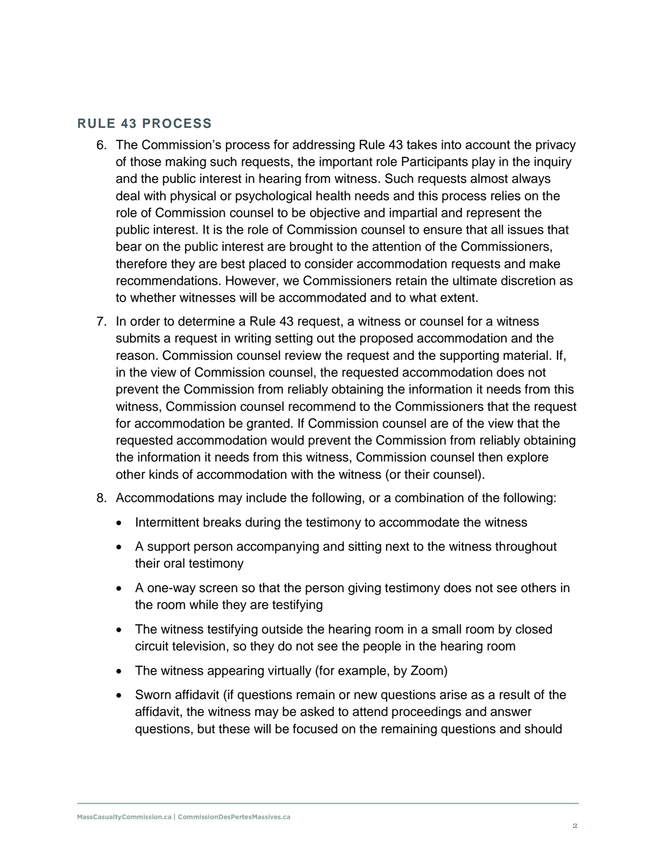#### **RULE 43 PROCESS**

- 6. The Commission's process for addressing Rule 43 takes into account the privacy of those making such requests, the important role Participants play in the inquiry and the public interest in hearing from witness. Such requests almost always deal with physical or psychological health needs and this process relies on the role of Commission counsel to be objective and impartial and represent the public interest. It is the role of Commission counsel to ensure that all issues that bear on the public interest are brought to the attention of the Commissioners, therefore they are best placed to consider accommodation requests and make recommendations. However, we Commissioners retain the ultimate discretion as to whether witnesses will be accommodated and to what extent.
- 7. In order to determine a Rule 43 request, a witness or counsel for a witness submits a request in writing setting out the proposed accommodation and the reason. Commission counsel review the request and the supporting material. If, in the view of Commission counsel, the requested accommodation does not prevent the Commission from reliably obtaining the information it needs from this witness, Commission counsel recommend to the Commissioners that the request for accommodation be granted. If Commission counsel are of the view that the requested accommodation would prevent the Commission from reliably obtaining the information it needs from this witness, Commission counsel then explore other kinds of accommodation with the witness (or their counsel).
- 8. Accommodations may include the following, or a combination of the following:
	- Intermittent breaks during the testimony to accommodate the witness
	- A support person accompanying and sitting next to the witness throughout their oral testimony
	- A one-way screen so that the person giving testimony does not see others in the room while they are testifying
	- The witness testifying outside the hearing room in a small room by closed circuit television, so they do not see the people in the hearing room
	- The witness appearing virtually (for example, by Zoom)
	- Sworn affidavit (if questions remain or new questions arise as a result of the affidavit, the witness may be asked to attend proceedings and answer questions, but these will be focused on the remaining questions and should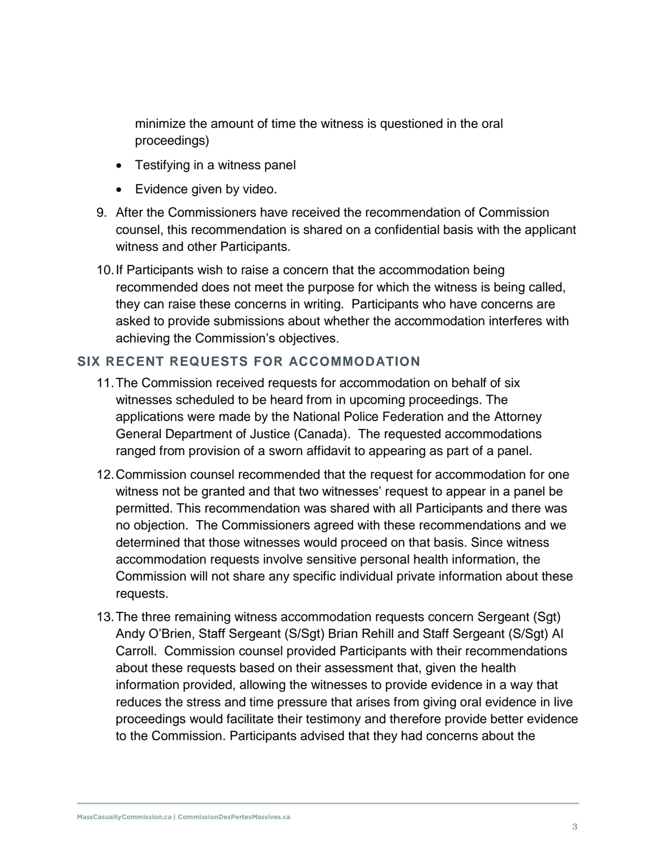minimize the amount of time the witness is questioned in the oral proceedings)

- Testifying in a witness panel
- Evidence given by video.
- 9. After the Commissioners have received the recommendation of Commission counsel, this recommendation is shared on a confidential basis with the applicant witness and other Participants.
- 10.If Participants wish to raise a concern that the accommodation being recommended does not meet the purpose for which the witness is being called, they can raise these concerns in writing. Participants who have concerns are asked to provide submissions about whether the accommodation interferes with achieving the Commission's objectives.

# **SIX RECENT REQUESTS FOR ACCOMMODATION**

- 11.The Commission received requests for accommodation on behalf of six witnesses scheduled to be heard from in upcoming proceedings. The applications were made by the National Police Federation and the Attorney General Department of Justice (Canada). The requested accommodations ranged from provision of a sworn affidavit to appearing as part of a panel.
- 12.Commission counsel recommended that the request for accommodation for one witness not be granted and that two witnesses' request to appear in a panel be permitted. This recommendation was shared with all Participants and there was no objection. The Commissioners agreed with these recommendations and we determined that those witnesses would proceed on that basis. Since witness accommodation requests involve sensitive personal health information, the Commission will not share any specific individual private information about these requests.
- 13.The three remaining witness accommodation requests concern Sergeant (Sgt) Andy O'Brien, Staff Sergeant (S/Sgt) Brian Rehill and Staff Sergeant (S/Sgt) Al Carroll. Commission counsel provided Participants with their recommendations about these requests based on their assessment that, given the health information provided, allowing the witnesses to provide evidence in a way that reduces the stress and time pressure that arises from giving oral evidence in live proceedings would facilitate their testimony and therefore provide better evidence to the Commission. Participants advised that they had concerns about the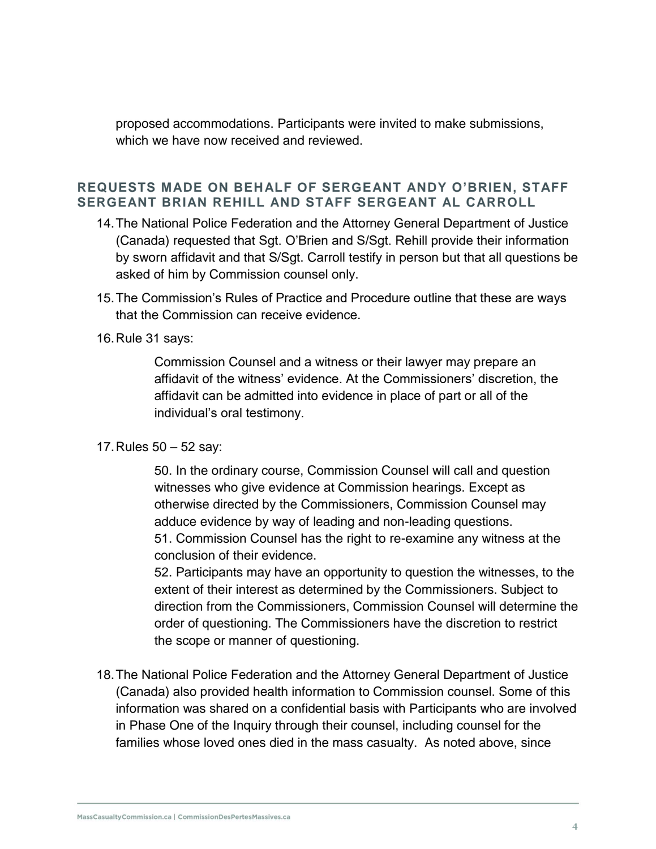proposed accommodations. Participants were invited to make submissions, which we have now received and reviewed.

# **REQUESTS MADE ON BEHALF OF SERGEANT ANDY O'BRIEN, STAFF SERGEANT BRIAN REHILL AND STAFF SERGEANT AL CARROLL**

- 14.The National Police Federation and the Attorney General Department of Justice (Canada) requested that Sgt. O'Brien and S/Sgt. Rehill provide their information by sworn affidavit and that S/Sgt. Carroll testify in person but that all questions be asked of him by Commission counsel only.
- 15.The Commission's Rules of Practice and Procedure outline that these are ways that the Commission can receive evidence.
- 16.Rule 31 says:

Commission Counsel and a witness or their lawyer may prepare an affidavit of the witness' evidence. At the Commissioners' discretion, the affidavit can be admitted into evidence in place of part or all of the individual's oral testimony.

17.Rules 50 – 52 say:

50. In the ordinary course, Commission Counsel will call and question witnesses who give evidence at Commission hearings. Except as otherwise directed by the Commissioners, Commission Counsel may adduce evidence by way of leading and non-leading questions. 51. Commission Counsel has the right to re-examine any witness at the conclusion of their evidence.

52. Participants may have an opportunity to question the witnesses, to the extent of their interest as determined by the Commissioners. Subject to direction from the Commissioners, Commission Counsel will determine the order of questioning. The Commissioners have the discretion to restrict the scope or manner of questioning.

18.The National Police Federation and the Attorney General Department of Justice (Canada) also provided health information to Commission counsel. Some of this information was shared on a confidential basis with Participants who are involved in Phase One of the Inquiry through their counsel, including counsel for the families whose loved ones died in the mass casualty. As noted above, since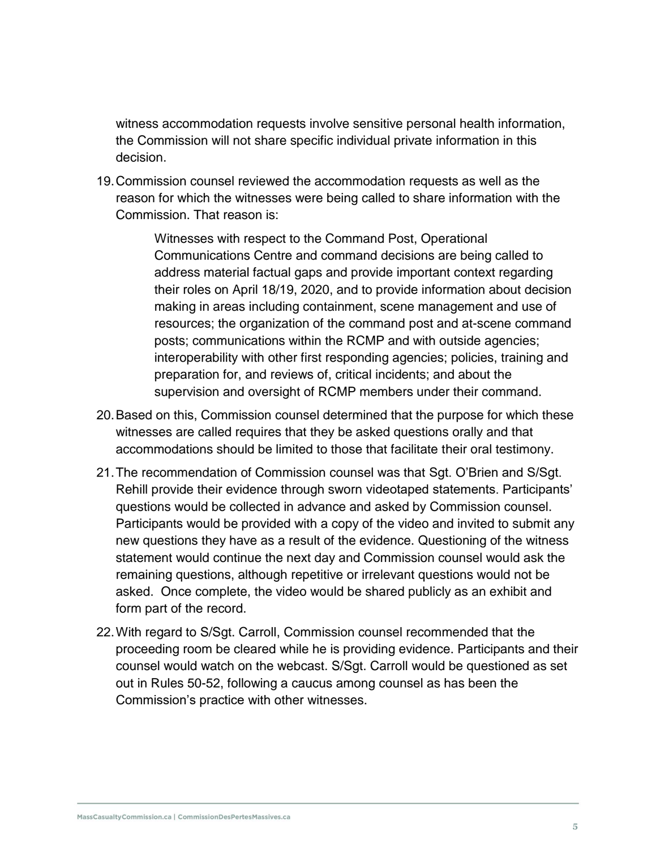witness accommodation requests involve sensitive personal health information, the Commission will not share specific individual private information in this decision.

19.Commission counsel reviewed the accommodation requests as well as the reason for which the witnesses were being called to share information with the Commission. That reason is:

> Witnesses with respect to the Command Post, Operational Communications Centre and command decisions are being called to address material factual gaps and provide important context regarding their roles on April 18/19, 2020, and to provide information about decision making in areas including containment, scene management and use of resources; the organization of the command post and at-scene command posts; communications within the RCMP and with outside agencies; interoperability with other first responding agencies; policies, training and preparation for, and reviews of, critical incidents; and about the supervision and oversight of RCMP members under their command.

- 20.Based on this, Commission counsel determined that the purpose for which these witnesses are called requires that they be asked questions orally and that accommodations should be limited to those that facilitate their oral testimony.
- 21.The recommendation of Commission counsel was that Sgt. O'Brien and S/Sgt. Rehill provide their evidence through sworn videotaped statements. Participants' questions would be collected in advance and asked by Commission counsel. Participants would be provided with a copy of the video and invited to submit any new questions they have as a result of the evidence. Questioning of the witness statement would continue the next day and Commission counsel would ask the remaining questions, although repetitive or irrelevant questions would not be asked. Once complete, the video would be shared publicly as an exhibit and form part of the record.
- 22.With regard to S/Sgt. Carroll, Commission counsel recommended that the proceeding room be cleared while he is providing evidence. Participants and their counsel would watch on the webcast. S/Sgt. Carroll would be questioned as set out in Rules 50-52, following a caucus among counsel as has been the Commission's practice with other witnesses.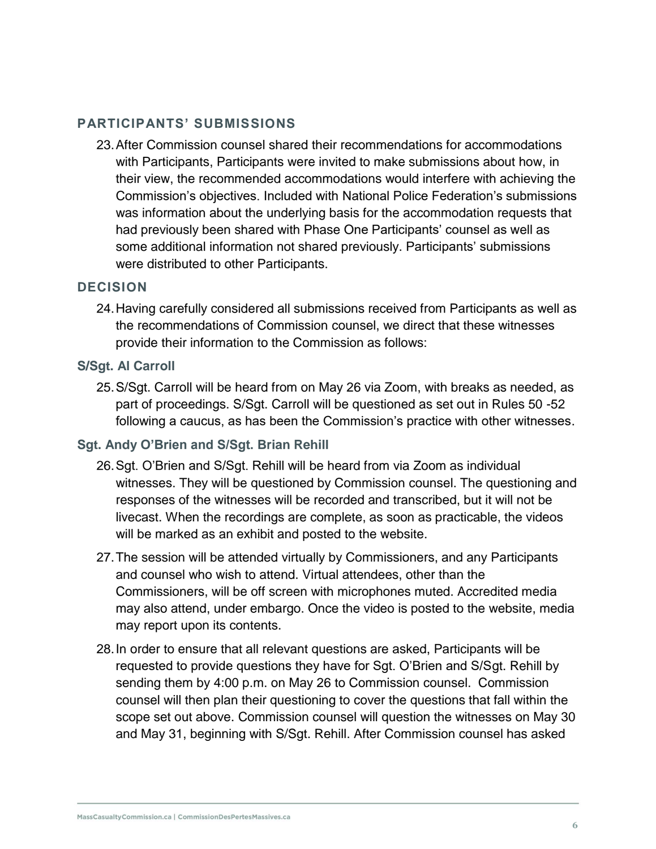### **PARTICIPANTS' SUBMISSIONS**

23.After Commission counsel shared their recommendations for accommodations with Participants, Participants were invited to make submissions about how, in their view, the recommended accommodations would interfere with achieving the Commission's objectives. Included with National Police Federation's submissions was information about the underlying basis for the accommodation requests that had previously been shared with Phase One Participants' counsel as well as some additional information not shared previously. Participants' submissions were distributed to other Participants.

### **DECISION**

24.Having carefully considered all submissions received from Participants as well as the recommendations of Commission counsel, we direct that these witnesses provide their information to the Commission as follows:

#### **S/Sgt. Al Carroll**

25.S/Sgt. Carroll will be heard from on May 26 via Zoom, with breaks as needed, as part of proceedings. S/Sgt. Carroll will be questioned as set out in Rules 50 -52 following a caucus, as has been the Commission's practice with other witnesses.

# **Sgt. Andy O'Brien and S/Sgt. Brian Rehill**

- 26.Sgt. O'Brien and S/Sgt. Rehill will be heard from via Zoom as individual witnesses. They will be questioned by Commission counsel. The questioning and responses of the witnesses will be recorded and transcribed, but it will not be livecast. When the recordings are complete, as soon as practicable, the videos will be marked as an exhibit and posted to the website.
- 27.The session will be attended virtually by Commissioners, and any Participants and counsel who wish to attend. Virtual attendees, other than the Commissioners, will be off screen with microphones muted. Accredited media may also attend, under embargo. Once the video is posted to the website, media may report upon its contents.
- 28.In order to ensure that all relevant questions are asked, Participants will be requested to provide questions they have for Sgt. O'Brien and S/Sgt. Rehill by sending them by 4:00 p.m. on May 26 to Commission counsel. Commission counsel will then plan their questioning to cover the questions that fall within the scope set out above. Commission counsel will question the witnesses on May 30 and May 31, beginning with S/Sgt. Rehill. After Commission counsel has asked